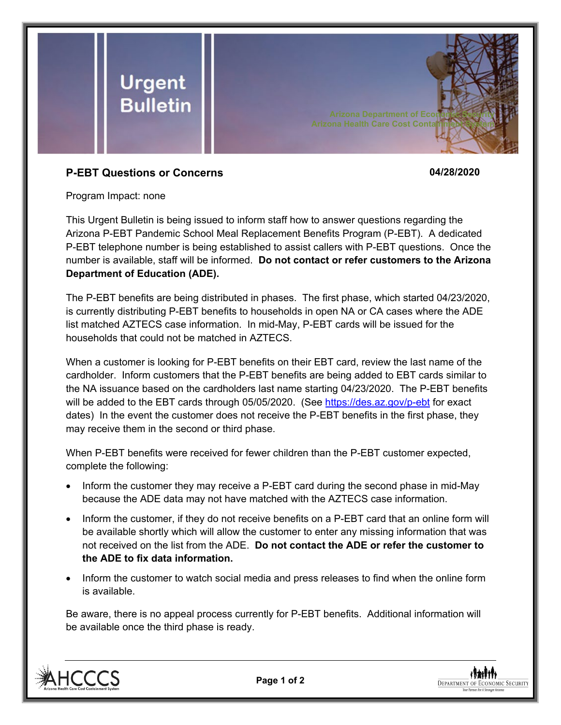

## **P-EBT Questions or Concerns 04/28/2020**

Program Impact: none

This Urgent Bulletin is being issued to inform staff how to answer questions regarding the Arizona P-EBT Pandemic School Meal Replacement Benefits Program (P-EBT). A dedicated P-EBT telephone number is being established to assist callers with P-EBT questions. Once the number is available, staff will be informed. **Do not contact or refer customers to the Arizona Department of Education (ADE).**

The P-EBT benefits are being distributed in phases. The first phase, which started 04/23/2020, is currently distributing P-EBT benefits to households in open NA or CA cases where the ADE list matched AZTECS case information. In mid-May, P-EBT cards will be issued for the households that could not be matched in AZTECS.

When a customer is looking for P-EBT benefits on their EBT card, review the last name of the cardholder. Inform customers that the P-EBT benefits are being added to EBT cards similar to the NA issuance based on the cardholders last name starting 04/23/2020. The P-EBT benefits will be added to the EBT cards through 05/05/2020. (See<https://des.az.gov/p-ebt> for exact dates) In the event the customer does not receive the P-EBT benefits in the first phase, they may receive them in the second or third phase.

When P-EBT benefits were received for fewer children than the P-EBT customer expected, complete the following:

- Inform the customer they may receive a P-EBT card during the second phase in mid-May because the ADE data may not have matched with the AZTECS case information.
- Inform the customer, if they do not receive benefits on a P-EBT card that an online form will be available shortly which will allow the customer to enter any missing information that was not received on the list from the ADE. **Do not contact the ADE or refer the customer to the ADE to fix data information.**
- Inform the customer to watch social media and press releases to find when the online form is available.

Be aware, there is no appeal process currently for P-EBT benefits. Additional information will be available once the third phase is ready.